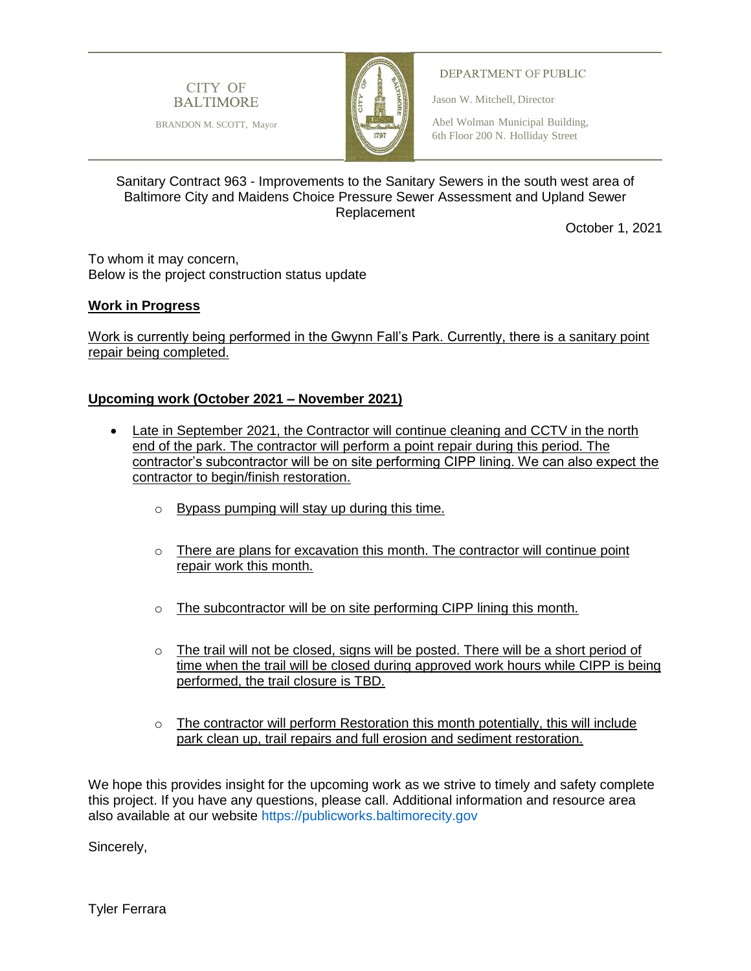

BRANDON M. SCOTT, Mayor



## DEPARTMENT OF PUBLIC

Jason W. Mitchell, Director

Baltimore, Maryland 21202

Abel Wolman Municipal Building, 6th Floor 200 N. Holliday Street

## Sanitary Contract 963 - Improvements to the Sanitary Sewers in the south west area of Baltimore City and Maidens Choice Pressure Sewer Assessment and Upland Sewer Replacement

October 1, 2021

To whom it may concern, Below is the project construction status update

## **Work in Progress**

Work is currently being performed in the Gwynn Fall's Park. Currently, there is a sanitary point repair being completed.

## **Upcoming work (October 2021 – November 2021)**

- Late in September 2021, the Contractor will continue cleaning and CCTV in the north end of the park. The contractor will perform a point repair during this period. The contractor's subcontractor will be on site performing CIPP lining. We can also expect the contractor to begin/finish restoration.
	- o Bypass pumping will stay up during this time.
	- $\circ$  There are plans for excavation this month. The contractor will continue point repair work this month.
	- o The subcontractor will be on site performing CIPP lining this month.
	- $\circ$  The trail will not be closed, signs will be posted. There will be a short period of time when the trail will be closed during approved work hours while CIPP is being performed, the trail closure is TBD.
	- $\circ$  The contractor will perform Restoration this month potentially, this will include park clean up, trail repairs and full erosion and sediment restoration.

We hope this provides insight for the upcoming work as we strive to timely and safety complete this project. If you have any questions, please call. Additional information and resource area also available at our website [https://publicworks.baltimorecity.gov](https://publicworks.baltimorecity.gov/)

Sincerely,